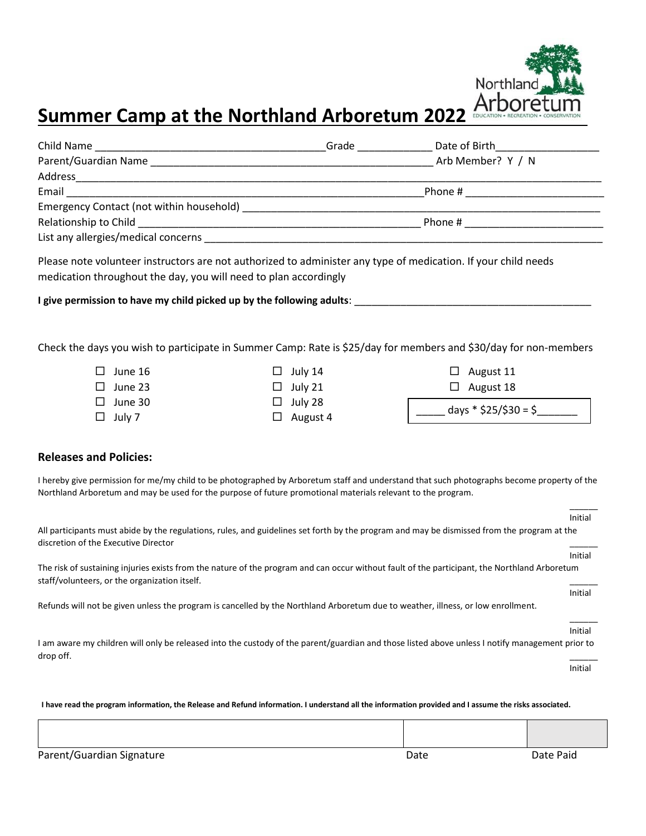

## **Summer Camp at the Northland Arboretum 2022**

|                                                                                                                                                                                                                                                                                             |                                                                                                                                                                                    | _Grade __________________ Date of Birth_ |                 |  |                                                                                           |         |
|---------------------------------------------------------------------------------------------------------------------------------------------------------------------------------------------------------------------------------------------------------------------------------------------|------------------------------------------------------------------------------------------------------------------------------------------------------------------------------------|------------------------------------------|-----------------|--|-------------------------------------------------------------------------------------------|---------|
|                                                                                                                                                                                                                                                                                             |                                                                                                                                                                                    |                                          |                 |  |                                                                                           |         |
|                                                                                                                                                                                                                                                                                             |                                                                                                                                                                                    |                                          |                 |  |                                                                                           |         |
|                                                                                                                                                                                                                                                                                             |                                                                                                                                                                                    |                                          |                 |  |                                                                                           |         |
|                                                                                                                                                                                                                                                                                             |                                                                                                                                                                                    |                                          |                 |  | the control of the control of the control of the control of the control of the control of |         |
|                                                                                                                                                                                                                                                                                             |                                                                                                                                                                                    |                                          |                 |  |                                                                                           |         |
|                                                                                                                                                                                                                                                                                             |                                                                                                                                                                                    |                                          |                 |  |                                                                                           |         |
|                                                                                                                                                                                                                                                                                             | Please note volunteer instructors are not authorized to administer any type of medication. If your child needs<br>medication throughout the day, you will need to plan accordingly |                                          |                 |  |                                                                                           |         |
|                                                                                                                                                                                                                                                                                             |                                                                                                                                                                                    |                                          |                 |  |                                                                                           |         |
| Check the days you wish to participate in Summer Camp: Rate is \$25/day for members and \$30/day for non-members                                                                                                                                                                            |                                                                                                                                                                                    |                                          |                 |  |                                                                                           |         |
|                                                                                                                                                                                                                                                                                             | $\Box$ June 16                                                                                                                                                                     |                                          | $\Box$ July 14  |  | $\Box$ August 11                                                                          |         |
|                                                                                                                                                                                                                                                                                             | $\square$ June 23                                                                                                                                                                  |                                          | $\Box$ July 21  |  | $\Box$ August 18                                                                          |         |
|                                                                                                                                                                                                                                                                                             | $\Box$ June 30                                                                                                                                                                     |                                          | $\Box$ July 28  |  | $\frac{1}{2}$ days * \$25/\$30 = \$                                                       |         |
|                                                                                                                                                                                                                                                                                             | $\Box$ July 7                                                                                                                                                                      |                                          | $\Box$ August 4 |  |                                                                                           |         |
| <b>Releases and Policies:</b><br>I hereby give permission for me/my child to be photographed by Arboretum staff and understand that such photographs become property of the<br>Northland Arboretum and may be used for the purpose of future promotional materials relevant to the program. |                                                                                                                                                                                    |                                          |                 |  |                                                                                           |         |
|                                                                                                                                                                                                                                                                                             |                                                                                                                                                                                    |                                          |                 |  |                                                                                           | Initial |
| All participants must abide by the regulations, rules, and guidelines set forth by the program and may be dismissed from the program at the<br>discretion of the Executive Director                                                                                                         |                                                                                                                                                                                    |                                          |                 |  |                                                                                           |         |
|                                                                                                                                                                                                                                                                                             |                                                                                                                                                                                    |                                          |                 |  |                                                                                           | Initial |
| The risk of sustaining injuries exists from the nature of the program and can occur without fault of the participant, the Northland Arboretum<br>staff/volunteers, or the organization itself.                                                                                              |                                                                                                                                                                                    |                                          |                 |  |                                                                                           |         |
|                                                                                                                                                                                                                                                                                             |                                                                                                                                                                                    |                                          |                 |  |                                                                                           | Initial |
|                                                                                                                                                                                                                                                                                             | Refunds will not be given unless the program is cancelled by the Northland Arboretum due to weather, illness, or low enrollment.                                                   |                                          |                 |  |                                                                                           |         |
|                                                                                                                                                                                                                                                                                             |                                                                                                                                                                                    |                                          |                 |  |                                                                                           | Initial |
| I am aware my children will only be released into the custody of the parent/guardian and those listed above unless I notify management prior to<br>drop off.                                                                                                                                |                                                                                                                                                                                    |                                          |                 |  |                                                                                           |         |
|                                                                                                                                                                                                                                                                                             |                                                                                                                                                                                    |                                          |                 |  |                                                                                           | Initial |

**I have read the program information, the Release and Refund information. I understand all the information provided and I assume the risks associated.**

Parent/Guardian Signature **Date Paid** Parent/Guardian Signature **Date Paid**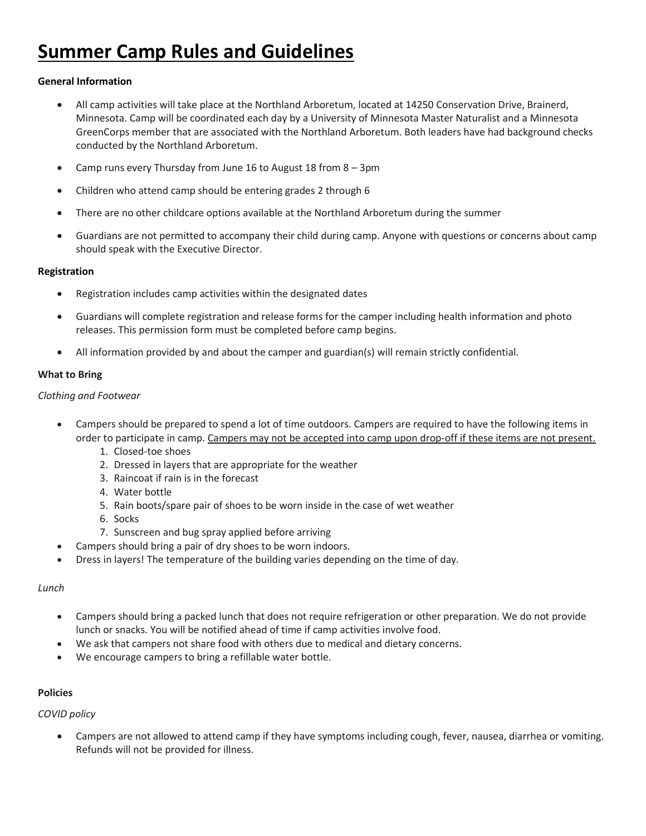# **Summer Camp Rules and Guidelines**

## **General Information**

- All camp activities will take place at the Northland Arboretum, located at 14250 Conservation Drive, Brainerd, Minnesota. Camp will be coordinated each day by a University of Minnesota Master Naturalist and a Minnesota GreenCorps member that are associated with the Northland Arboretum. Both leaders have had background checks conducted by the Northland Arboretum.
- Camp runs every Thursday from June 16 to August 18 from 8 3pm
- Children who attend camp should be entering grades 2 through 6
- There are no other childcare options available at the Northland Arboretum during the summer
- Guardians are not permitted to accompany their child during camp. Anyone with questions or concerns about camp should speak with the Executive Director.

### **Registration**

- Registration includes camp activities within the designated dates
- Guardians will complete registration and release forms for the camper including health information and photo releases. This permission form must be completed before camp begins.
- All information provided by and about the camper and guardian(s) will remain strictly confidential.

## **What to Bring**

### *Clothing and Footwear*

- Campers should be prepared to spend a lot of time outdoors. Campers are required to have the following items in order to participate in camp. Campers may not be accepted into camp upon drop-off if these items are not present.
	- 1. Closed-toe shoes
	- 2. Dressed in layers that are appropriate for the weather
	- 3. Raincoat if rain is in the forecast
	- 4. Water bottle
	- 5. Rain boots/spare pair of shoes to be worn inside in the case of wet weather
	- 6. Socks
	- 7. Sunscreen and bug spray applied before arriving
	- Campers should bring a pair of dry shoes to be worn indoors.
- Dress in layers! The temperature of the building varies depending on the time of day.

### *Lunch*

- Campers should bring a packed lunch that does not require refrigeration or other preparation. We do not provide lunch or snacks. You will be notified ahead of time if camp activities involve food.
- We ask that campers not share food with others due to medical and dietary concerns.
- We encourage campers to bring a refillable water bottle.

### **Policies**

*COVID policy*

• Campers are not allowed to attend camp if they have symptoms including cough, fever, nausea, diarrhea or vomiting. Refunds will not be provided for illness.